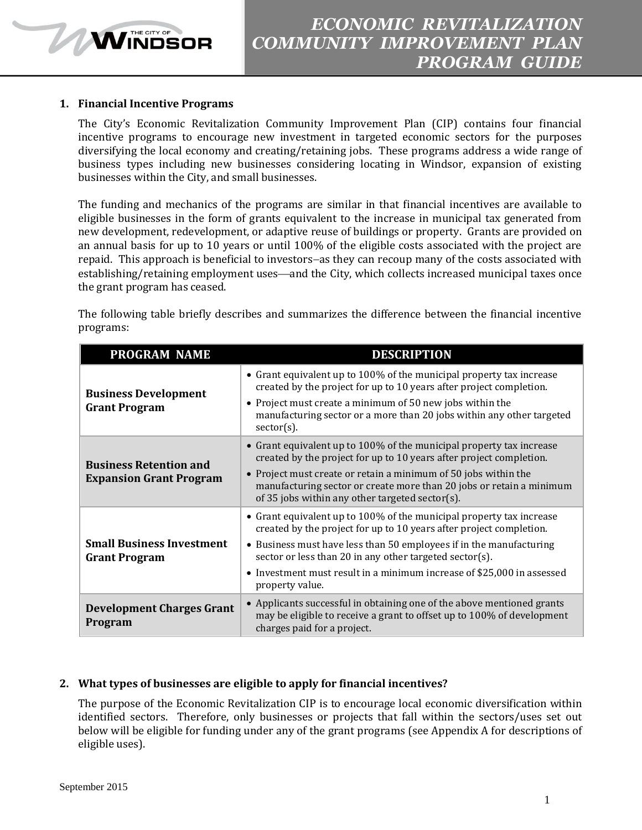## **1. Financial Incentive Programs**

**MINDSOR** 

The City's Economic Revitalization Community Improvement Plan (CIP) contains four financial incentive programs to encourage new investment in targeted economic sectors for the purposes diversifying the local economy and creating/retaining jobs. These programs address a wide range of business types including new businesses considering locating in Windsor, expansion of existing businesses within the City, and small businesses.

The funding and mechanics of the programs are similar in that financial incentives are available to eligible businesses in the form of grants equivalent to the increase in municipal tax generated from new development, redevelopment, or adaptive reuse of buildings or property. Grants are provided on an annual basis for up to 10 years or until 100% of the eligible costs associated with the project are repaid. This approach is beneficial to investors-as they can recoup many of the costs associated with establishing/retaining employment uses—and the City, which collects increased municipal taxes once the grant program has ceased.

The following table briefly describes and summarizes the difference between the financial incentive programs:

| <b>PROGRAM NAME</b>                                             | <b>DESCRIPTION</b>                                                                                                                                                                                                                                                                                                                                                         |
|-----------------------------------------------------------------|----------------------------------------------------------------------------------------------------------------------------------------------------------------------------------------------------------------------------------------------------------------------------------------------------------------------------------------------------------------------------|
| <b>Business Development</b><br><b>Grant Program</b>             | • Grant equivalent up to 100% of the municipal property tax increase<br>created by the project for up to 10 years after project completion.<br>• Project must create a minimum of 50 new jobs within the<br>manufacturing sector or a more than 20 jobs within any other targeted<br>$sector(s)$ .                                                                         |
| <b>Business Retention and</b><br><b>Expansion Grant Program</b> | • Grant equivalent up to 100% of the municipal property tax increase<br>created by the project for up to 10 years after project completion.<br>• Project must create or retain a minimum of 50 jobs within the<br>manufacturing sector or create more than 20 jobs or retain a minimum<br>of 35 jobs within any other targeted sector(s).                                  |
| <b>Small Business Investment</b><br><b>Grant Program</b>        | • Grant equivalent up to 100% of the municipal property tax increase<br>created by the project for up to 10 years after project completion.<br>• Business must have less than 50 employees if in the manufacturing<br>sector or less than 20 in any other targeted sector(s).<br>• Investment must result in a minimum increase of \$25,000 in assessed<br>property value. |
| <b>Development Charges Grant</b><br>Program                     | • Applicants successful in obtaining one of the above mentioned grants<br>may be eligible to receive a grant to offset up to 100% of development<br>charges paid for a project.                                                                                                                                                                                            |

# **2. What types of businesses are eligible to apply for financial incentives?**

The purpose of the Economic Revitalization CIP is to encourage local economic diversification within identified sectors. Therefore, only businesses or projects that fall within the sectors/uses set out below will be eligible for funding under any of the grant programs (see Appendix A for descriptions of eligible uses).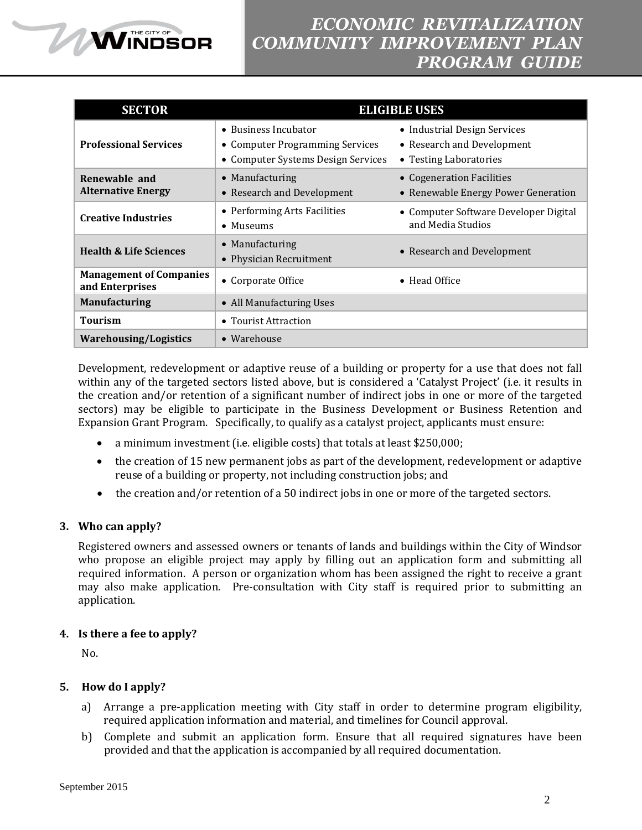

| <b>SECTOR</b>                                     |                                                                                               | <b>ELIGIBLE USES</b>                                                                 |
|---------------------------------------------------|-----------------------------------------------------------------------------------------------|--------------------------------------------------------------------------------------|
| <b>Professional Services</b>                      | • Business Incubator<br>• Computer Programming Services<br>• Computer Systems Design Services | • Industrial Design Services<br>• Research and Development<br>• Testing Laboratories |
| Renewable and<br><b>Alternative Energy</b>        | • Manufacturing<br>• Research and Development                                                 | • Cogeneration Facilities<br>• Renewable Energy Power Generation                     |
| <b>Creative Industries</b>                        | • Performing Arts Facilities<br>• Museums                                                     | • Computer Software Developer Digital<br>and Media Studios                           |
| <b>Health &amp; Life Sciences</b>                 | • Manufacturing<br>• Physician Recruitment                                                    | • Research and Development                                                           |
| <b>Management of Companies</b><br>and Enterprises | • Corporate Office                                                                            | $\bullet$ Head Office                                                                |
| <b>Manufacturing</b>                              | • All Manufacturing Uses                                                                      |                                                                                      |
| <b>Tourism</b>                                    | • Tourist Attraction                                                                          |                                                                                      |
| <b>Warehousing/Logistics</b>                      | • Warehouse                                                                                   |                                                                                      |

Development, redevelopment or adaptive reuse of a building or property for a use that does not fall within any of the targeted sectors listed above, but is considered a 'Catalyst Project' (i.e. it results in the creation and/or retention of a significant number of indirect jobs in one or more of the targeted sectors) may be eligible to participate in the Business Development or Business Retention and Expansion Grant Program. Specifically, to qualify as a catalyst project, applicants must ensure:

- a minimum investment (i.e. eligible costs) that totals at least \$250,000;
- the creation of 15 new permanent jobs as part of the development, redevelopment or adaptive reuse of a building or property, not including construction jobs; and
- the creation and/or retention of a 50 indirect jobs in one or more of the targeted sectors.

# **3. Who can apply?**

Registered owners and assessed owners or tenants of lands and buildings within the City of Windsor who propose an eligible project may apply by filling out an application form and submitting all required information. A person or organization whom has been assigned the right to receive a grant may also make application. Pre-consultation with City staff is required prior to submitting an application.

# **4. Is there a fee to apply?**

No.

# **5. How do I apply?**

- a) Arrange a pre-application meeting with City staff in order to determine program eligibility, required application information and material, and timelines for Council approval.
- b) Complete and submit an application form. Ensure that all required signatures have been provided and that the application is accompanied by all required documentation.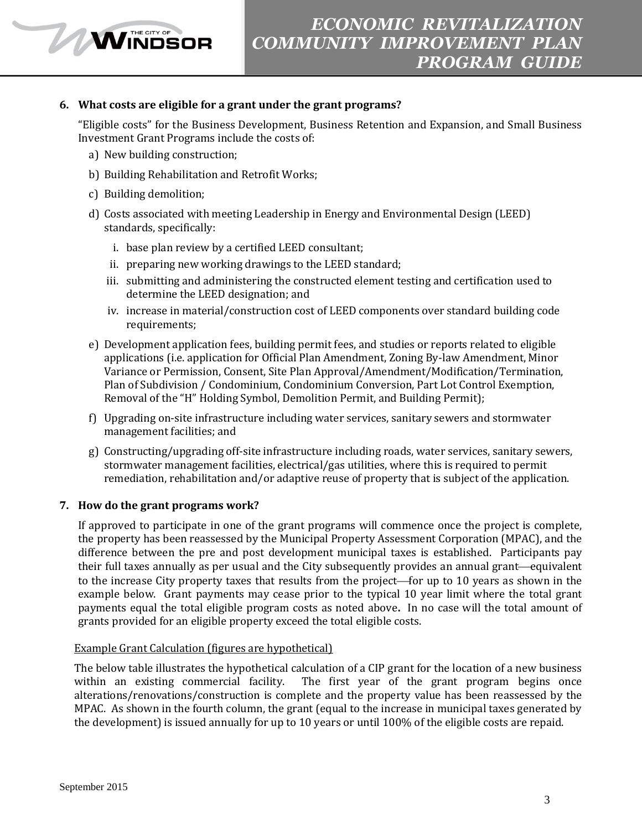## **6. What costs are eligible for a grant under the grant programs?**

"Eligible costs" for the Business Development, Business Retention and Expansion, and Small Business Investment Grant Programs include the costs of:

- a) New building construction;
- b) Building Rehabilitation and Retrofit Works;
- c) Building demolition;

**WINDSOR** 

- d) Costs associated with meeting Leadership in Energy and Environmental Design (LEED) standards, specifically:
	- i. base plan review by a certified LEED consultant;
	- ii. preparing new working drawings to the LEED standard;
	- iii. submitting and administering the constructed element testing and certification used to determine the LEED designation; and
	- iv. increase in material/construction cost of LEED components over standard building code requirements;
- e) Development application fees, building permit fees, and studies or reports related to eligible applications (i.e. application for Official Plan Amendment, Zoning By-law Amendment, Minor Variance or Permission, Consent, Site Plan Approval/Amendment/Modification/Termination, Plan of Subdivision / Condominium, Condominium Conversion, Part Lot Control Exemption, Removal of the "H" Holding Symbol, Demolition Permit, and Building Permit);
- f) Upgrading on-site infrastructure including water services, sanitary sewers and stormwater management facilities; and
- g) Constructing/upgrading off-site infrastructure including roads, water services, sanitary sewers, stormwater management facilities, electrical/gas utilities, where this is required to permit remediation, rehabilitation and/or adaptive reuse of property that is subject of the application.

#### **7. How do the grant programs work?**

If approved to participate in one of the grant programs will commence once the project is complete, the property has been reassessed by the Municipal Property Assessment Corporation (MPAC), and the difference between the pre and post development municipal taxes is established. Participants pay their full taxes annually as per usual and the City subsequently provides an annual grant—equivalent to the increase City property taxes that results from the project—for up to 10 years as shown in the example below. Grant payments may cease prior to the typical 10 year limit where the total grant payments equal the total eligible program costs as noted above**.** In no case will the total amount of grants provided for an eligible property exceed the total eligible costs.

#### Example Grant Calculation (figures are hypothetical)

The below table illustrates the hypothetical calculation of a CIP grant for the location of a new business within an existing commercial facility. The first year of the grant program begins once alterations/renovations/construction is complete and the property value has been reassessed by the MPAC. As shown in the fourth column, the grant (equal to the increase in municipal taxes generated by the development) is issued annually for up to 10 years or until 100% of the eligible costs are repaid.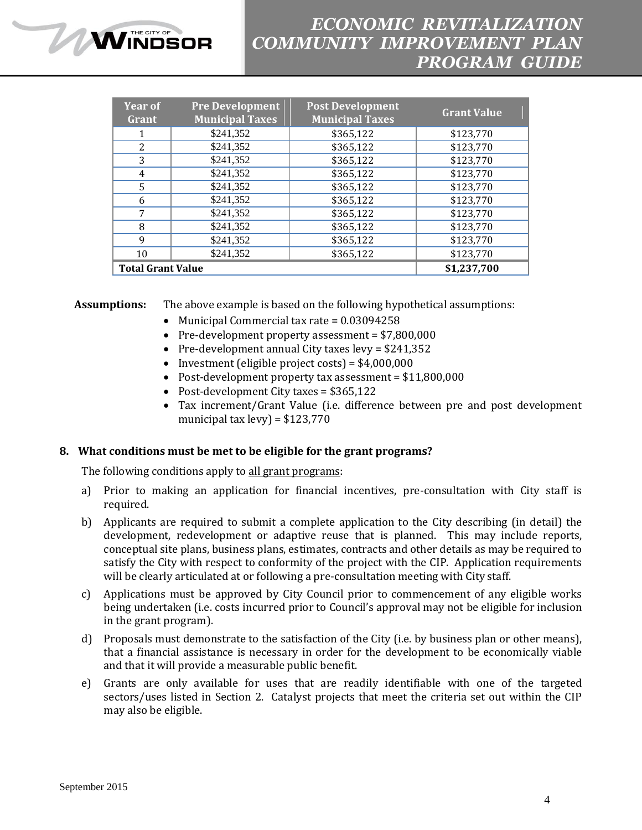# *ECONOMIC REVITALIZATION COMMUNITY IMPROVEMENT PLAN PROGRAM GUIDE*

| <b>Year of</b><br>Grant  | <b>Pre Development</b><br><b>Municipal Taxes</b> | <b>Post Development</b><br><b>Municipal Taxes</b> | <b>Grant Value</b> |
|--------------------------|--------------------------------------------------|---------------------------------------------------|--------------------|
|                          | \$241,352                                        | \$365,122                                         | \$123,770          |
| 2                        | \$241,352                                        | \$365,122                                         | \$123,770          |
| 3                        | \$241,352                                        | \$365,122                                         | \$123,770          |
| 4                        | \$241,352                                        | \$365,122                                         | \$123,770          |
| 5                        | \$241,352                                        | \$365,122                                         | \$123,770          |
| 6                        | \$241,352                                        | \$365,122                                         | \$123,770          |
| 7                        | \$241,352                                        | \$365,122                                         | \$123,770          |
| 8                        | \$241,352                                        | \$365,122                                         | \$123,770          |
| 9                        | \$241,352                                        | \$365,122                                         | \$123,770          |
| 10                       | \$241,352                                        | \$365,122                                         | \$123,770          |
| <b>Total Grant Value</b> |                                                  |                                                   | \$1,237,700        |

**Assumptions:** The above example is based on the following hypothetical assumptions:

- Municipal Commercial tax rate =  $0.03094258$
- Pre-development property assessment = \$7,800,000
- Pre-development annual City taxes levy =  $$241,352$
- Investment (eligible project costs) =  $$4,000,000$
- Post-development property tax assessment = \$11,800,000
- Post-development City taxes = \$365,122
- Tax increment/Grant Value (i.e. difference between pre and post development municipal tax levy) =  $$123,770$

#### **8. What conditions must be met to be eligible for the grant programs?**

The following conditions apply to all grant programs:

**MINDSOR** 

- a) Prior to making an application for financial incentives, pre-consultation with City staff is required.
- b) Applicants are required to submit a complete application to the City describing (in detail) the development, redevelopment or adaptive reuse that is planned. This may include reports, conceptual site plans, business plans, estimates, contracts and other details as may be required to satisfy the City with respect to conformity of the project with the CIP. Application requirements will be clearly articulated at or following a pre-consultation meeting with City staff.
- c) Applications must be approved by City Council prior to commencement of any eligible works being undertaken (i.e. costs incurred prior to Council's approval may not be eligible for inclusion in the grant program).
- d) Proposals must demonstrate to the satisfaction of the City (i.e. by business plan or other means), that a financial assistance is necessary in order for the development to be economically viable and that it will provide a measurable public benefit.
- e) Grants are only available for uses that are readily identifiable with one of the targeted sectors/uses listed in Section 2. Catalyst projects that meet the criteria set out within the CIP may also be eligible.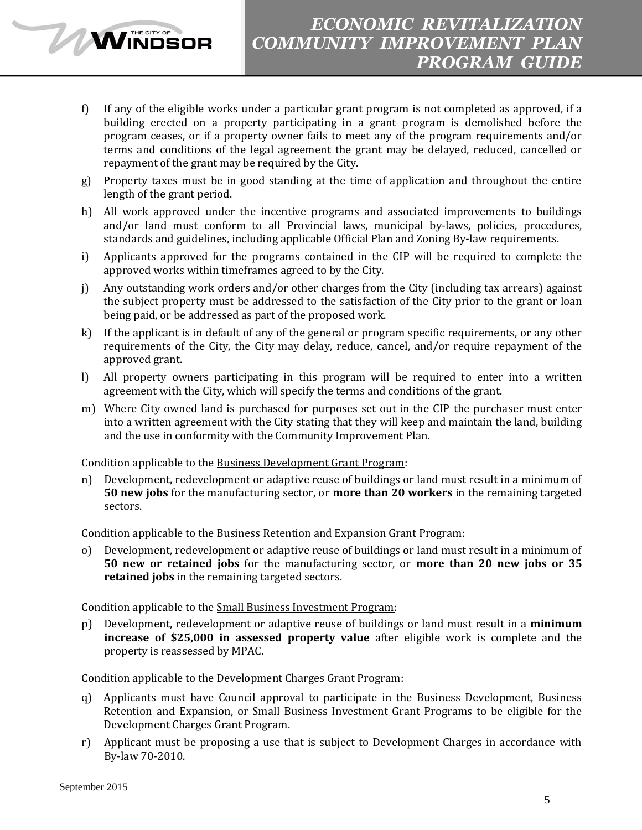

- f) If any of the eligible works under a particular grant program is not completed as approved, if a building erected on a property participating in a grant program is demolished before the program ceases, or if a property owner fails to meet any of the program requirements and/or terms and conditions of the legal agreement the grant may be delayed, reduced, cancelled or repayment of the grant may be required by the City.
- g) Property taxes must be in good standing at the time of application and throughout the entire length of the grant period.
- h) All work approved under the incentive programs and associated improvements to buildings and/or land must conform to all Provincial laws, municipal by-laws, policies, procedures, standards and guidelines, including applicable Official Plan and Zoning By-law requirements.
- i) Applicants approved for the programs contained in the CIP will be required to complete the approved works within timeframes agreed to by the City.
- j) Any outstanding work orders and/or other charges from the City (including tax arrears) against the subject property must be addressed to the satisfaction of the City prior to the grant or loan being paid, or be addressed as part of the proposed work.
- k) If the applicant is in default of any of the general or program specific requirements, or any other requirements of the City, the City may delay, reduce, cancel, and/or require repayment of the approved grant.
- l) All property owners participating in this program will be required to enter into a written agreement with the City, which will specify the terms and conditions of the grant.
- m) Where City owned land is purchased for purposes set out in the CIP the purchaser must enter into a written agreement with the City stating that they will keep and maintain the land, building and the use in conformity with the Community Improvement Plan.

Condition applicable to the Business Development Grant Program:

n) Development, redevelopment or adaptive reuse of buildings or land must result in a minimum of **50 new jobs** for the manufacturing sector, or **more than 20 workers** in the remaining targeted sectors.

Condition applicable to the Business Retention and Expansion Grant Program:

Development, redevelopment or adaptive reuse of buildings or land must result in a minimum of **50 new or retained jobs** for the manufacturing sector, or **more than 20 new jobs or 35 retained jobs** in the remaining targeted sectors.

Condition applicable to the Small Business Investment Program:

p) Development, redevelopment or adaptive reuse of buildings or land must result in a **minimum increase of \$25,000 in assessed property value** after eligible work is complete and the property is reassessed by MPAC.

Condition applicable to the Development Charges Grant Program:

- q) Applicants must have Council approval to participate in the Business Development, Business Retention and Expansion, or Small Business Investment Grant Programs to be eligible for the Development Charges Grant Program.
- r) Applicant must be proposing a use that is subject to Development Charges in accordance with By-law 70-2010.

WINDSOR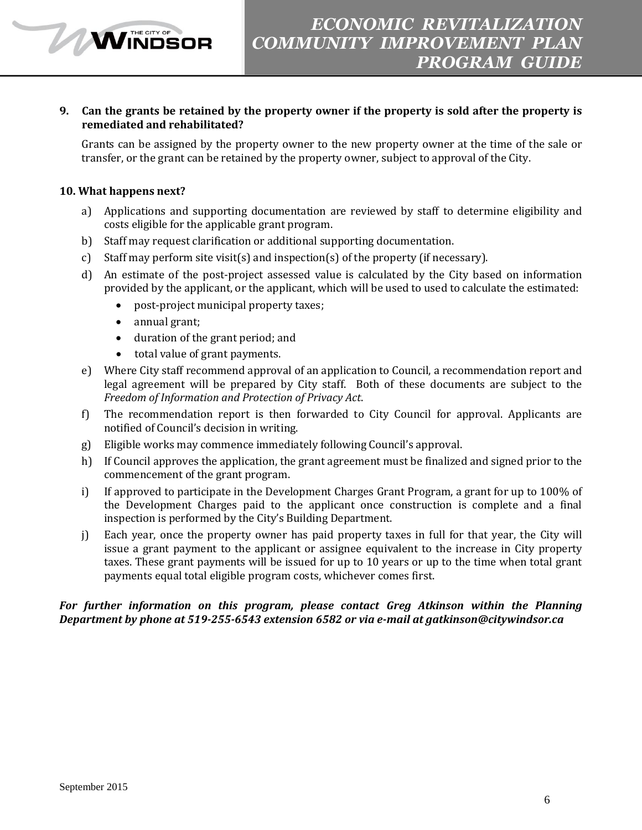## **9. Can the grants be retained by the property owner if the property is sold after the property is remediated and rehabilitated?**

Grants can be assigned by the property owner to the new property owner at the time of the sale or transfer, or the grant can be retained by the property owner, subject to approval of the City.

### **10. What happens next?**

WINDSOR

- a) Applications and supporting documentation are reviewed by staff to determine eligibility and costs eligible for the applicable grant program.
- b) Staff may request clarification or additional supporting documentation.
- c) Staff may perform site visit(s) and inspection(s) of the property (if necessary).
- d) An estimate of the post-project assessed value is calculated by the City based on information provided by the applicant, or the applicant, which will be used to used to calculate the estimated:
	- post-project municipal property taxes;
	- annual grant;
	- duration of the grant period; and
	- total value of grant payments.
- e) Where City staff recommend approval of an application to Council, a recommendation report and legal agreement will be prepared by City staff. Both of these documents are subject to the *Freedom of Information and Protection of Privacy Act*.
- f) The recommendation report is then forwarded to City Council for approval. Applicants are notified of Council's decision in writing.
- g) Eligible works may commence immediately following Council's approval.
- h) If Council approves the application, the grant agreement must be finalized and signed prior to the commencement of the grant program.
- i) If approved to participate in the Development Charges Grant Program, a grant for up to 100% of the Development Charges paid to the applicant once construction is complete and a final inspection is performed by the City's Building Department.
- j) Each year, once the property owner has paid property taxes in full for that year, the City will issue a grant payment to the applicant or assignee equivalent to the increase in City property taxes. These grant payments will be issued for up to 10 years or up to the time when total grant payments equal total eligible program costs, whichever comes first.

### *For further information on this program, please contact Greg Atkinson within the Planning Department by phone at 519-255-6543 extension 6582 or via e-mail at gatkinson@citywindsor.ca*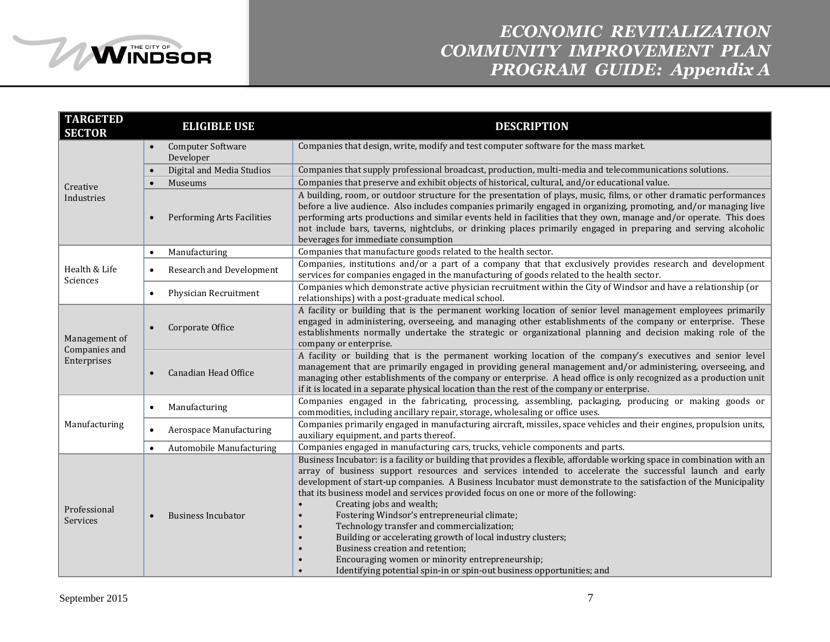

# *ECONOMIC REVITALIZATION COMMUNITY IMPROVEMENT PLAN PROGRAM GUIDE: Appendix A*

| <b>TARGETED</b><br><b>SECTOR</b>              | <b>ELIGIBLE USE</b>                          | <b>DESCRIPTION</b>                                                                                                                                                                                                                                                                                                                                                                                                                                                                                                                                                                                                                                                                                                                                                                                                                                                                     |  |
|-----------------------------------------------|----------------------------------------------|----------------------------------------------------------------------------------------------------------------------------------------------------------------------------------------------------------------------------------------------------------------------------------------------------------------------------------------------------------------------------------------------------------------------------------------------------------------------------------------------------------------------------------------------------------------------------------------------------------------------------------------------------------------------------------------------------------------------------------------------------------------------------------------------------------------------------------------------------------------------------------------|--|
|                                               | Computer Software<br>$\bullet$<br>Developer  | Companies that design, write, modify and test computer software for the mass market.                                                                                                                                                                                                                                                                                                                                                                                                                                                                                                                                                                                                                                                                                                                                                                                                   |  |
|                                               | Digital and Media Studios                    | Companies that supply professional broadcast, production, multi-media and telecommunications solutions.                                                                                                                                                                                                                                                                                                                                                                                                                                                                                                                                                                                                                                                                                                                                                                                |  |
| Creative                                      | Museums<br>$\bullet$                         | Companies that preserve and exhibit objects of historical, cultural, and/or educational value.                                                                                                                                                                                                                                                                                                                                                                                                                                                                                                                                                                                                                                                                                                                                                                                         |  |
| Industries                                    | <b>Performing Arts Facilities</b>            | A building, room, or outdoor structure for the presentation of plays, music, films, or other dramatic performances<br>before a live audience. Also includes companies primarily engaged in organizing, promoting, and/or managing live<br>performing arts productions and similar events held in facilities that they own, manage and/or operate. This does<br>not include bars, taverns, nightclubs, or drinking places primarily engaged in preparing and serving alcoholic<br>beverages for immediate consumption                                                                                                                                                                                                                                                                                                                                                                   |  |
|                                               | Manufacturing<br>$\bullet$                   | Companies that manufacture goods related to the health sector.                                                                                                                                                                                                                                                                                                                                                                                                                                                                                                                                                                                                                                                                                                                                                                                                                         |  |
| Health & Life<br>Sciences                     | <b>Research and Development</b><br>$\bullet$ | Companies, institutions and/or a part of a company that that exclusively provides research and development<br>services for companies engaged in the manufacturing of goods related to the health sector.                                                                                                                                                                                                                                                                                                                                                                                                                                                                                                                                                                                                                                                                               |  |
|                                               | Physician Recruitment<br>$\bullet$           | Companies which demonstrate active physician recruitment within the City of Windsor and have a relationship (or<br>relationships) with a post-graduate medical school.                                                                                                                                                                                                                                                                                                                                                                                                                                                                                                                                                                                                                                                                                                                 |  |
| Management of<br>Companies and<br>Enterprises | Corporate Office<br>$\bullet$                | A facility or building that is the permanent working location of senior level management employees primarily<br>engaged in administering, overseeing, and managing other establishments of the company or enterprise. These<br>establishments normally undertake the strategic or organizational planning and decision making role of the<br>company or enterprise.                                                                                                                                                                                                                                                                                                                                                                                                                                                                                                                    |  |
|                                               | Canadian Head Office                         | A facility or building that is the permanent working location of the company's executives and senior level<br>management that are primarily engaged in providing general management and/or administering, overseeing, and<br>managing other establishments of the company or enterprise. A head office is only recognized as a production unit<br>if it is located in a separate physical location than the rest of the company or enterprise.                                                                                                                                                                                                                                                                                                                                                                                                                                         |  |
|                                               | Manufacturing<br>$\bullet$                   | Companies engaged in the fabricating, processing, assembling, packaging, producing or making goods or<br>commodities, including ancillary repair, storage, wholesaling or office uses.                                                                                                                                                                                                                                                                                                                                                                                                                                                                                                                                                                                                                                                                                                 |  |
| Manufacturing                                 | <b>Aerospace Manufacturing</b><br>$\bullet$  | Companies primarily engaged in manufacturing aircraft, missiles, space vehicles and their engines, propulsion units,<br>auxiliary equipment, and parts thereof.                                                                                                                                                                                                                                                                                                                                                                                                                                                                                                                                                                                                                                                                                                                        |  |
|                                               | Automobile Manufacturing<br>$\bullet$        | Companies engaged in manufacturing cars, trucks, vehicle components and parts.                                                                                                                                                                                                                                                                                                                                                                                                                                                                                                                                                                                                                                                                                                                                                                                                         |  |
| Professional<br>Services                      | <b>Business Incubator</b><br>$\bullet$       | Business Incubator: is a facility or building that provides a flexible, affordable working space in combination with an<br>array of business support resources and services intended to accelerate the successful launch and early<br>development of start-up companies. A Business Incubator must demonstrate to the satisfaction of the Municipality<br>that its business model and services provided focus on one or more of the following:<br>Creating jobs and wealth;<br>$\bullet$<br>Fostering Windsor's entrepreneurial climate;<br>$\bullet$<br>Technology transfer and commercialization;<br>$\bullet$<br>Building or accelerating growth of local industry clusters;<br>$\bullet$<br>Business creation and retention;<br>$\bullet$<br>Encouraging women or minority entrepreneurship;<br>$\bullet$<br>Identifying potential spin-in or spin-out business opportunities; and |  |